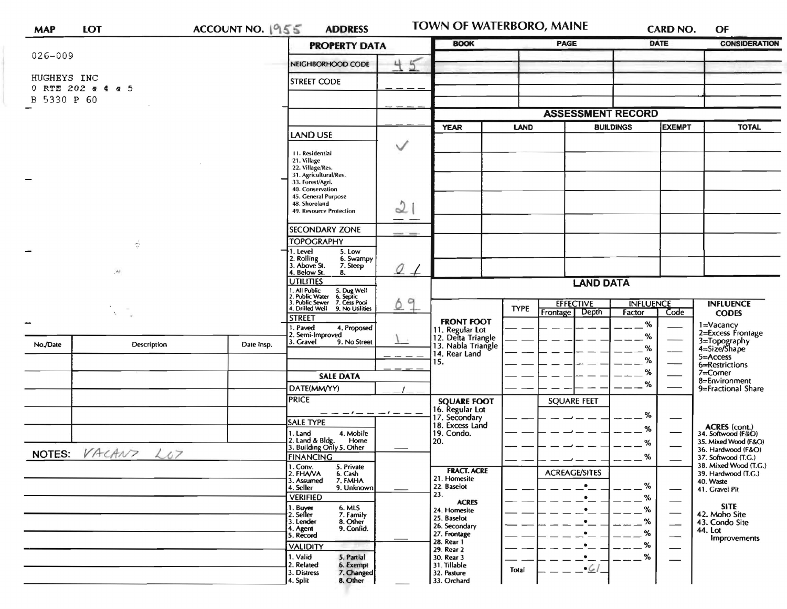| <b>MAP</b>  | LOT                  | ACCOUNT NO. 1955 | <b>ADDRESS</b>                                                                                                            |                          | <b>BOOK</b>                                                 |             | <b>PAGE</b>          |                  |                  | <b>CARD NO.</b><br><b>DATE</b> | OF<br><b>CONSIDERATION</b>                   |
|-------------|----------------------|------------------|---------------------------------------------------------------------------------------------------------------------------|--------------------------|-------------------------------------------------------------|-------------|----------------------|------------------|------------------|--------------------------------|----------------------------------------------|
| $026 - 009$ |                      |                  | <b>PROPERTY DATA</b>                                                                                                      |                          |                                                             |             |                      |                  |                  |                                |                                              |
|             |                      |                  | NEIGHBORHOOD CODE                                                                                                         | 45                       |                                                             |             |                      |                  |                  |                                |                                              |
| HUGHEYS INC |                      |                  | STREET CODE                                                                                                               |                          |                                                             |             |                      |                  |                  |                                |                                              |
|             | 0 RTE 202 & 4 & 5    |                  |                                                                                                                           |                          |                                                             |             |                      |                  |                  |                                |                                              |
| B 5330 P 60 |                      |                  |                                                                                                                           |                          |                                                             |             |                      |                  |                  |                                |                                              |
|             |                      |                  |                                                                                                                           | <b>ASSESSMENT RECORD</b> |                                                             |             |                      |                  |                  |                                |                                              |
|             |                      |                  |                                                                                                                           |                          | <b>YEAR</b>                                                 | LAND        |                      |                  | <b>BUILDINGS</b> | <b>EXEMPT</b>                  | <b>TOTAL</b>                                 |
|             |                      |                  | <b>LAND USE</b>                                                                                                           | ◡                        |                                                             |             |                      |                  |                  |                                |                                              |
|             |                      |                  | 11. Residential                                                                                                           |                          |                                                             |             |                      |                  |                  |                                |                                              |
|             |                      |                  | 21. Village<br>22. Village/Res.                                                                                           |                          |                                                             |             |                      |                  |                  |                                |                                              |
|             |                      |                  | 31. Agricultural/Res.<br>33. Forest/Agri.                                                                                 |                          |                                                             |             |                      |                  |                  |                                |                                              |
|             |                      |                  | 40. Conservation                                                                                                          |                          |                                                             |             |                      |                  |                  |                                |                                              |
|             |                      |                  | 45. General Purpose<br>48. Shoreland                                                                                      |                          |                                                             |             |                      |                  |                  |                                |                                              |
|             |                      |                  | 49. Resource Protection                                                                                                   | L                        |                                                             |             |                      |                  |                  |                                |                                              |
|             |                      |                  | SECONDARY ZONE                                                                                                            | --                       |                                                             |             |                      |                  |                  |                                |                                              |
|             | $\frac{1}{\Omega}$   |                  | <b>TOPOGRAPHY</b>                                                                                                         |                          |                                                             |             |                      |                  |                  |                                |                                              |
|             |                      |                  | 1. Level<br>5. Low                                                                                                        |                          |                                                             |             |                      |                  |                  |                                |                                              |
|             |                      |                  | 2. Rolling<br>3. Above St.<br>6. Swampy<br>7. Steep                                                                       | 21                       |                                                             |             |                      |                  |                  |                                |                                              |
|             | $\mathcal{M}$        |                  | 4. Below St.<br>8.<br><b>UTILITIES</b>                                                                                    |                          |                                                             |             |                      | <b>LAND DATA</b> |                  |                                |                                              |
|             |                      |                  |                                                                                                                           | 9<br>Ô.,                 |                                                             |             |                      |                  |                  |                                |                                              |
|             |                      |                  | 1. All Public 5. Dug Well<br>2. Public Water 6. Septic<br>3. Public Sewer 7. Cess Pool<br>4. Drilled Well 9. No Utilities |                          |                                                             |             | <b>EFFECTIVE</b>     |                  | <b>INFLUENCE</b> |                                | <b>INFLUENCE</b>                             |
|             |                      |                  | <b>STREET</b>                                                                                                             |                          |                                                             | <b>TYPE</b> | Frontage Depth       |                  | Factor           | Code                           | <b>CODES</b>                                 |
|             |                      |                  | 1. Paved<br>4. Proposed                                                                                                   |                          | <b>FRONT FOOT</b>                                           |             |                      |                  | %                |                                | 1=Vacancy<br>2=Excess Frontage               |
| No./Date    | <b>Description</b>   | Date Insp.       | 2. Semi-Improved<br>3. Gravel<br>9. No Street                                                                             |                          | 11. Regular Lot<br>12. Delta Triangle<br>13. Nabla Triangle |             |                      |                  | ℅                | 3=Topography<br>4=Size/Shape   |                                              |
|             |                      |                  |                                                                                                                           |                          | 14. Rear Land                                               |             |                      |                  | %                |                                | 5=Access                                     |
|             |                      |                  |                                                                                                                           |                          | 15.                                                         |             |                      |                  | %                |                                | 6=Restrictions                               |
|             |                      |                  | <b>SALE DATA</b>                                                                                                          |                          |                                                             |             |                      |                  | %                |                                | $7 =$ Corner<br>8=Environment                |
|             |                      |                  | DATE(MM/YY)                                                                                                               |                          |                                                             |             |                      |                  | %                |                                | 9=Fractional Share                           |
|             |                      |                  | <b>PRICE</b>                                                                                                              |                          | <b>SQUARE FOOT</b>                                          |             | <b>SQUARE FEET</b>   |                  |                  |                                |                                              |
|             |                      |                  | $---  ---  --- -$                                                                                                         |                          | 16. Regular Lot<br>17. Secondary                            |             |                      |                  | %                |                                |                                              |
|             |                      |                  | <b>SALE TYPE</b>                                                                                                          |                          | 18. Excess Land                                             |             |                      |                  | %                |                                | ACRES (cont.)<br>34. Softwood (F&O)          |
|             |                      |                  | 1. Land<br>4. Mobile<br>2. Land & Bldg. Home<br>3. Building Only 5. Other<br>Home                                         |                          | 19. Condo.<br>20.                                           |             |                      |                  | %                |                                | 35. Mixed Wood (F&O)                         |
|             | NOTES: VACANT<br>L07 |                  | <b>FINANCING</b>                                                                                                          |                          |                                                             |             |                      |                  | %                |                                | 36. Hardwood (F&O)                           |
|             |                      |                  | 5. Private<br>1. Conv.                                                                                                    |                          |                                                             |             |                      |                  |                  |                                | 37. Softwood (T.C.)<br>38. Mixed Wood (T.G.) |
|             |                      |                  | 2. FHAVA<br>6. Cash<br>3. Assumed<br>7. FMHA                                                                              |                          | <b>FRACT. ACRE</b><br>21. Homesite                          |             | <b>ACREAGE/SITES</b> |                  |                  |                                | 39. Hardwood (T.G.)<br>40. Waste             |
|             |                      |                  | 4. Seller<br>9. Unknown                                                                                                   |                          | 22. Baselot                                                 |             |                      | $\bullet$        | %                |                                | 41. Gravel Pit                               |
|             |                      |                  | <b>VERIFIED</b>                                                                                                           |                          | 23.<br><b>ACRES</b>                                         |             |                      | $\bullet$        | %                |                                |                                              |
|             |                      |                  | 1. Buyer<br>2. Seller<br>6. MLS<br>7. Family                                                                              |                          | 24. Homesite<br>25. Baselot                                 |             |                      |                  | %                |                                | <b>SITE</b><br>42. Moho Site                 |
|             |                      |                  | 3. Lender<br>8. Other<br>4. Agent<br>9. Confid.                                                                           |                          | 26. Secondary                                               |             |                      |                  | %                | $\overline{\phantom{0}}$       | 43. Condo Site<br>44. Lot                    |
|             |                      |                  | 5. Record                                                                                                                 |                          | 27. Frontage<br>28. Rear 1                                  |             |                      |                  | %                |                                | Improvements                                 |
|             |                      |                  | <b>VALIDITY</b>                                                                                                           |                          | 29. Rear 2                                                  |             |                      |                  | %                |                                |                                              |
|             |                      |                  | 1. Valid<br>5. Partial<br>2. Related<br>6. Exempt                                                                         |                          | 30. Rear 3<br>31. Tillable                                  |             |                      | $\bullet$        | %                |                                |                                              |
|             |                      |                  | 3. Distress<br>7. Changed                                                                                                 |                          | 32. Pasture                                                 | Total       |                      | $-61$            |                  |                                |                                              |
|             |                      |                  | 4. Split<br>8. Other                                                                                                      |                          | 33. Orchard                                                 |             |                      |                  |                  |                                |                                              |